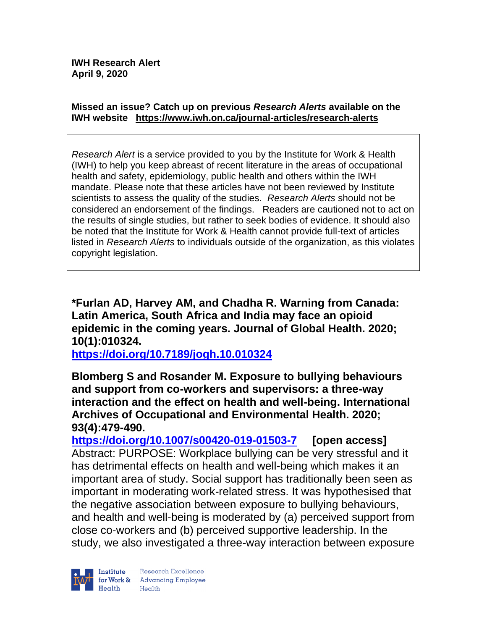#### **Missed an issue? Catch up on previous** *Research Alerts* **available on the [IWH website](http://www.iwh.on.ca/research-alerts) <https://www.iwh.on.ca/journal-articles/research-alerts>**

*Research Alert* is a service provided to you by the Institute for Work & Health (IWH) to help you keep abreast of recent literature in the areas of occupational health and safety, epidemiology, public health and others within the IWH mandate. Please note that these articles have not been reviewed by Institute scientists to assess the quality of the studies. *Research Alerts* should not be considered an endorsement of the findings. Readers are cautioned not to act on the results of single studies, but rather to seek bodies of evidence. It should also be noted that the Institute for Work & Health cannot provide full-text of articles listed in *Research Alerts* to individuals outside of the organization, as this violates copyright legislation.

**\*Furlan AD, Harvey AM, and Chadha R. Warning from Canada: Latin America, South Africa and India may face an opioid epidemic in the coming years. Journal of Global Health. 2020; 10(1):010324.**

**<https://doi.org/10.7189/jogh.10.010324>** 

**Blomberg S and Rosander M. Exposure to bullying behaviours and support from co-workers and supervisors: a three-way interaction and the effect on health and well-being. International Archives of Occupational and Environmental Health. 2020; 93(4):479-490.** 

**<https://doi.org/10.1007/s00420-019-01503-7> [open access]** Abstract: PURPOSE: Workplace bullying can be very stressful and it has detrimental effects on health and well-being which makes it an important area of study. Social support has traditionally been seen as important in moderating work-related stress. It was hypothesised that the negative association between exposure to bullying behaviours, and health and well-being is moderated by (a) perceived support from close co-workers and (b) perceived supportive leadership. In the study, we also investigated a three-way interaction between exposure

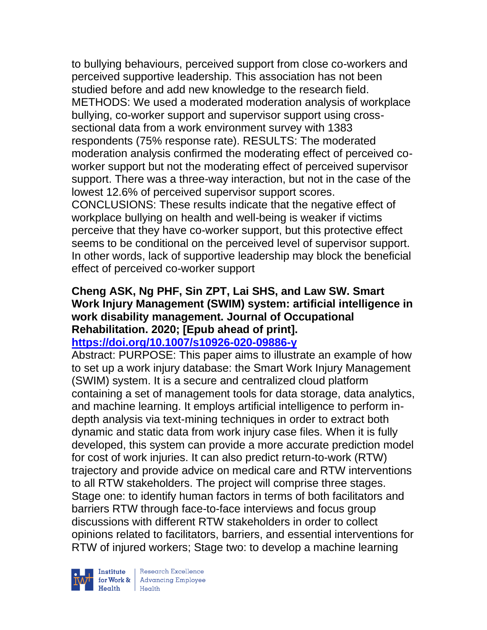to bullying behaviours, perceived support from close co-workers and perceived supportive leadership. This association has not been studied before and add new knowledge to the research field. METHODS: We used a moderated moderation analysis of workplace bullying, co-worker support and supervisor support using crosssectional data from a work environment survey with 1383 respondents (75% response rate). RESULTS: The moderated moderation analysis confirmed the moderating effect of perceived coworker support but not the moderating effect of perceived supervisor support. There was a three-way interaction, but not in the case of the lowest 12.6% of perceived supervisor support scores. CONCLUSIONS: These results indicate that the negative effect of workplace bullying on health and well-being is weaker if victims perceive that they have co-worker support, but this protective effect seems to be conditional on the perceived level of supervisor support. In other words, lack of supportive leadership may block the beneficial effect of perceived co-worker support

### **Cheng ASK, Ng PHF, Sin ZPT, Lai SHS, and Law SW. Smart Work Injury Management (SWIM) system: artificial intelligence in work disability management. Journal of Occupational Rehabilitation. 2020; [Epub ahead of print]. <https://doi.org/10.1007/s10926-020-09886-y>**

Abstract: PURPOSE: This paper aims to illustrate an example of how to set up a work injury database: the Smart Work Injury Management (SWIM) system. It is a secure and centralized cloud platform containing a set of management tools for data storage, data analytics, and machine learning. It employs artificial intelligence to perform indepth analysis via text-mining techniques in order to extract both dynamic and static data from work injury case files. When it is fully developed, this system can provide a more accurate prediction model for cost of work injuries. It can also predict return-to-work (RTW) trajectory and provide advice on medical care and RTW interventions to all RTW stakeholders. The project will comprise three stages. Stage one: to identify human factors in terms of both facilitators and barriers RTW through face-to-face interviews and focus group discussions with different RTW stakeholders in order to collect opinions related to facilitators, barriers, and essential interventions for RTW of injured workers; Stage two: to develop a machine learning

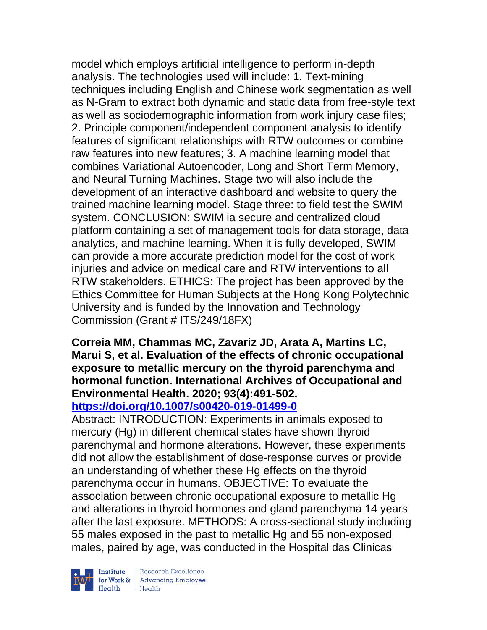model which employs artificial intelligence to perform in-depth analysis. The technologies used will include: 1. Text-mining techniques including English and Chinese work segmentation as well as N-Gram to extract both dynamic and static data from free-style text as well as sociodemographic information from work injury case files; 2. Principle component/independent component analysis to identify features of significant relationships with RTW outcomes or combine raw features into new features; 3. A machine learning model that combines Variational Autoencoder, Long and Short Term Memory, and Neural Turning Machines. Stage two will also include the development of an interactive dashboard and website to query the trained machine learning model. Stage three: to field test the SWIM system. CONCLUSION: SWIM ia secure and centralized cloud platform containing a set of management tools for data storage, data analytics, and machine learning. When it is fully developed, SWIM can provide a more accurate prediction model for the cost of work injuries and advice on medical care and RTW interventions to all RTW stakeholders. ETHICS: The project has been approved by the Ethics Committee for Human Subjects at the Hong Kong Polytechnic University and is funded by the Innovation and Technology Commission (Grant # ITS/249/18FX)

# **Correia MM, Chammas MC, Zavariz JD, Arata A, Martins LC, Marui S, et al. Evaluation of the effects of chronic occupational exposure to metallic mercury on the thyroid parenchyma and hormonal function. International Archives of Occupational and Environmental Health. 2020; 93(4):491-502.**

# **<https://doi.org/10.1007/s00420-019-01499-0>**

Abstract: INTRODUCTION: Experiments in animals exposed to mercury (Hg) in different chemical states have shown thyroid parenchymal and hormone alterations. However, these experiments did not allow the establishment of dose-response curves or provide an understanding of whether these Hg effects on the thyroid parenchyma occur in humans. OBJECTIVE: To evaluate the association between chronic occupational exposure to metallic Hg and alterations in thyroid hormones and gland parenchyma 14 years after the last exposure. METHODS: A cross-sectional study including 55 males exposed in the past to metallic Hg and 55 non-exposed males, paired by age, was conducted in the Hospital das Clinicas



Research Excellence for Work & Advancing Employee<br>Health Health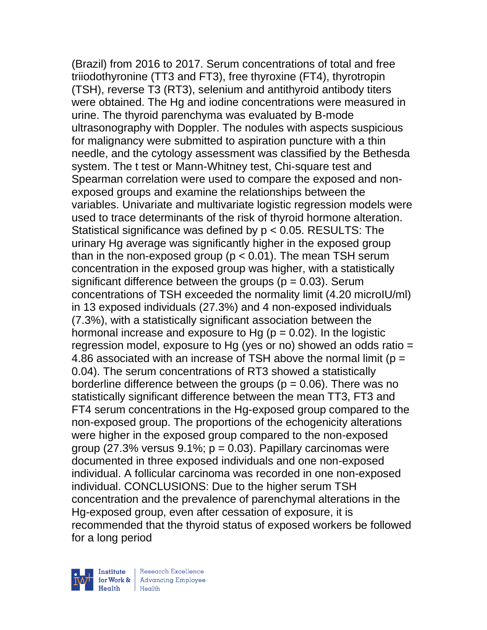(Brazil) from 2016 to 2017. Serum concentrations of total and free triiodothyronine (TT3 and FT3), free thyroxine (FT4), thyrotropin (TSH), reverse T3 (RT3), selenium and antithyroid antibody titers were obtained. The Hg and iodine concentrations were measured in urine. The thyroid parenchyma was evaluated by B-mode ultrasonography with Doppler. The nodules with aspects suspicious for malignancy were submitted to aspiration puncture with a thin needle, and the cytology assessment was classified by the Bethesda system. The t test or Mann-Whitney test, Chi-square test and Spearman correlation were used to compare the exposed and nonexposed groups and examine the relationships between the variables. Univariate and multivariate logistic regression models were used to trace determinants of the risk of thyroid hormone alteration. Statistical significance was defined by p < 0.05. RESULTS: The urinary Hg average was significantly higher in the exposed group than in the non-exposed group ( $p < 0.01$ ). The mean TSH serum concentration in the exposed group was higher, with a statistically significant difference between the groups ( $p = 0.03$ ). Serum concentrations of TSH exceeded the normality limit (4.20 microIU/ml) in 13 exposed individuals (27.3%) and 4 non-exposed individuals (7.3%), with a statistically significant association between the hormonal increase and exposure to Hg ( $p = 0.02$ ). In the logistic regression model, exposure to Hg (yes or no) showed an odds ratio = 4.86 associated with an increase of TSH above the normal limit ( $p =$ 0.04). The serum concentrations of RT3 showed a statistically borderline difference between the groups ( $p = 0.06$ ). There was no statistically significant difference between the mean TT3, FT3 and FT4 serum concentrations in the Hg-exposed group compared to the non-exposed group. The proportions of the echogenicity alterations were higher in the exposed group compared to the non-exposed group (27.3% versus  $9.1\%$ ;  $p = 0.03$ ). Papillary carcinomas were documented in three exposed individuals and one non-exposed individual. A follicular carcinoma was recorded in one non-exposed individual. CONCLUSIONS: Due to the higher serum TSH concentration and the prevalence of parenchymal alterations in the Hg-exposed group, even after cessation of exposure, it is recommended that the thyroid status of exposed workers be followed for a long period

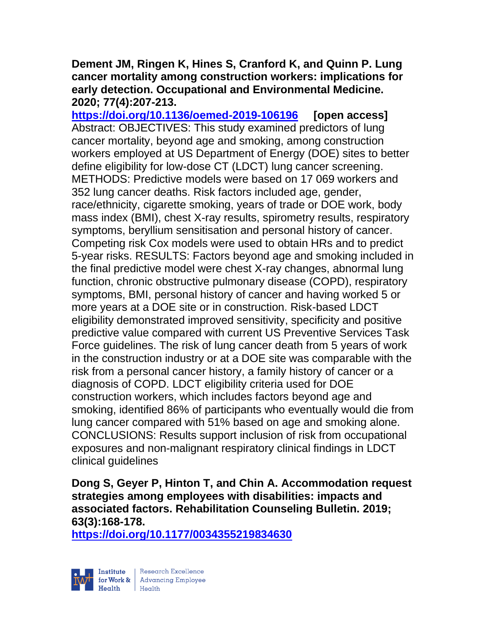## **Dement JM, Ringen K, Hines S, Cranford K, and Quinn P. Lung cancer mortality among construction workers: implications for early detection. Occupational and Environmental Medicine. 2020; 77(4):207-213.**

**<https://doi.org/10.1136/oemed-2019-106196> [open access]** Abstract: OBJECTIVES: This study examined predictors of lung cancer mortality, beyond age and smoking, among construction workers employed at US Department of Energy (DOE) sites to better define eligibility for low-dose CT (LDCT) lung cancer screening. METHODS: Predictive models were based on 17 069 workers and 352 lung cancer deaths. Risk factors included age, gender, race/ethnicity, cigarette smoking, years of trade or DOE work, body mass index (BMI), chest X-ray results, spirometry results, respiratory symptoms, beryllium sensitisation and personal history of cancer. Competing risk Cox models were used to obtain HRs and to predict 5-year risks. RESULTS: Factors beyond age and smoking included in the final predictive model were chest X-ray changes, abnormal lung function, chronic obstructive pulmonary disease (COPD), respiratory symptoms, BMI, personal history of cancer and having worked 5 or more years at a DOE site or in construction. Risk-based LDCT eligibility demonstrated improved sensitivity, specificity and positive predictive value compared with current US Preventive Services Task Force guidelines. The risk of lung cancer death from 5 years of work in the construction industry or at a DOE site was comparable with the risk from a personal cancer history, a family history of cancer or a diagnosis of COPD. LDCT eligibility criteria used for DOE construction workers, which includes factors beyond age and smoking, identified 86% of participants who eventually would die from lung cancer compared with 51% based on age and smoking alone. CONCLUSIONS: Results support inclusion of risk from occupational exposures and non-malignant respiratory clinical findings in LDCT clinical guidelines

**Dong S, Geyer P, Hinton T, and Chin A. Accommodation request strategies among employees with disabilities: impacts and associated factors. Rehabilitation Counseling Bulletin. 2019; 63(3):168-178.** 

**<https://doi.org/10.1177/0034355219834630>** 



| Research Excellence for Work & Advancing Employee<br>Health Health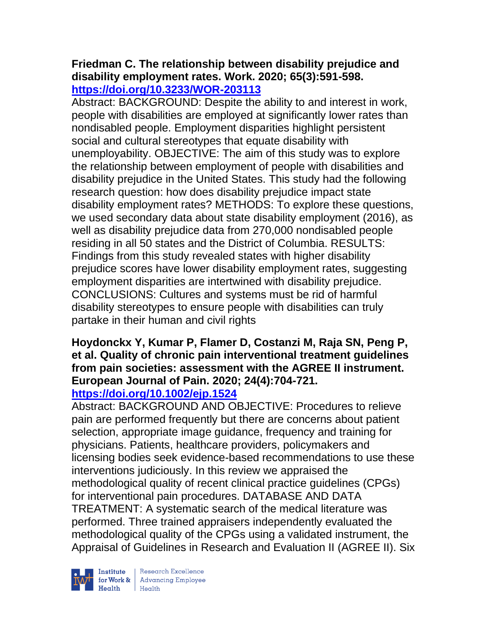## **Friedman C. The relationship between disability prejudice and disability employment rates. Work. 2020; 65(3):591-598. <https://doi.org/10.3233/WOR-203113>**

Abstract: BACKGROUND: Despite the ability to and interest in work, people with disabilities are employed at significantly lower rates than nondisabled people. Employment disparities highlight persistent social and cultural stereotypes that equate disability with unemployability. OBJECTIVE: The aim of this study was to explore the relationship between employment of people with disabilities and disability prejudice in the United States. This study had the following research question: how does disability prejudice impact state disability employment rates? METHODS: To explore these questions, we used secondary data about state disability employment (2016), as well as disability prejudice data from 270,000 nondisabled people residing in all 50 states and the District of Columbia. RESULTS: Findings from this study revealed states with higher disability prejudice scores have lower disability employment rates, suggesting employment disparities are intertwined with disability prejudice. CONCLUSIONS: Cultures and systems must be rid of harmful disability stereotypes to ensure people with disabilities can truly partake in their human and civil rights

### **Hoydonckx Y, Kumar P, Flamer D, Costanzi M, Raja SN, Peng P, et al. Quality of chronic pain interventional treatment guidelines from pain societies: assessment with the AGREE II instrument. European Journal of Pain. 2020; 24(4):704-721. <https://doi.org/10.1002/ejp.1524>**

Abstract: BACKGROUND AND OBJECTIVE: Procedures to relieve pain are performed frequently but there are concerns about patient selection, appropriate image guidance, frequency and training for physicians. Patients, healthcare providers, policymakers and licensing bodies seek evidence-based recommendations to use these interventions judiciously. In this review we appraised the methodological quality of recent clinical practice guidelines (CPGs) for interventional pain procedures. DATABASE AND DATA TREATMENT: A systematic search of the medical literature was performed. Three trained appraisers independently evaluated the methodological quality of the CPGs using a validated instrument, the Appraisal of Guidelines in Research and Evaluation II (AGREE II). Six



Institute Research Excellence<br>
for Work & Advancing Employee<br>
Health Health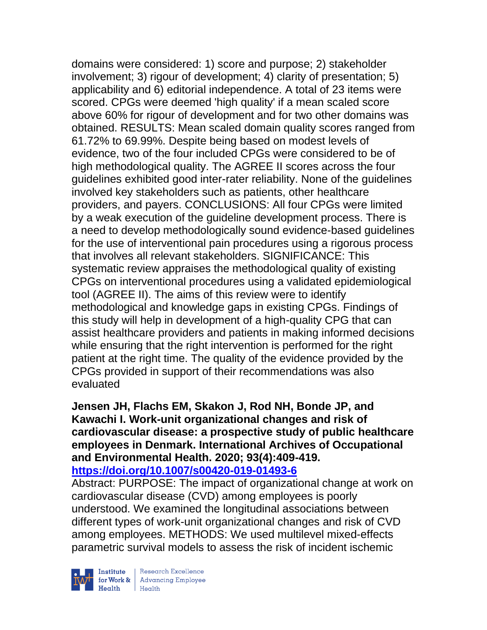domains were considered: 1) score and purpose; 2) stakeholder involvement; 3) rigour of development; 4) clarity of presentation; 5) applicability and 6) editorial independence. A total of 23 items were scored. CPGs were deemed 'high quality' if a mean scaled score above 60% for rigour of development and for two other domains was obtained. RESULTS: Mean scaled domain quality scores ranged from 61.72% to 69.99%. Despite being based on modest levels of evidence, two of the four included CPGs were considered to be of high methodological quality. The AGREE II scores across the four guidelines exhibited good inter-rater reliability. None of the guidelines involved key stakeholders such as patients, other healthcare providers, and payers. CONCLUSIONS: All four CPGs were limited by a weak execution of the guideline development process. There is a need to develop methodologically sound evidence-based guidelines for the use of interventional pain procedures using a rigorous process that involves all relevant stakeholders. SIGNIFICANCE: This systematic review appraises the methodological quality of existing CPGs on interventional procedures using a validated epidemiological tool (AGREE II). The aims of this review were to identify methodological and knowledge gaps in existing CPGs. Findings of this study will help in development of a high-quality CPG that can assist healthcare providers and patients in making informed decisions while ensuring that the right intervention is performed for the right patient at the right time. The quality of the evidence provided by the CPGs provided in support of their recommendations was also evaluated

### **Jensen JH, Flachs EM, Skakon J, Rod NH, Bonde JP, and Kawachi I. Work-unit organizational changes and risk of cardiovascular disease: a prospective study of public healthcare employees in Denmark. International Archives of Occupational and Environmental Health. 2020; 93(4):409-419. <https://doi.org/10.1007/s00420-019-01493-6>**

Abstract: PURPOSE: The impact of organizational change at work on cardiovascular disease (CVD) among employees is poorly understood. We examined the longitudinal associations between different types of work-unit organizational changes and risk of CVD among employees. METHODS: We used multilevel mixed-effects parametric survival models to assess the risk of incident ischemic



| Research Excellence **Example 18 Advancing Employee**<br> **Health** Health<br>
Health<br>
Health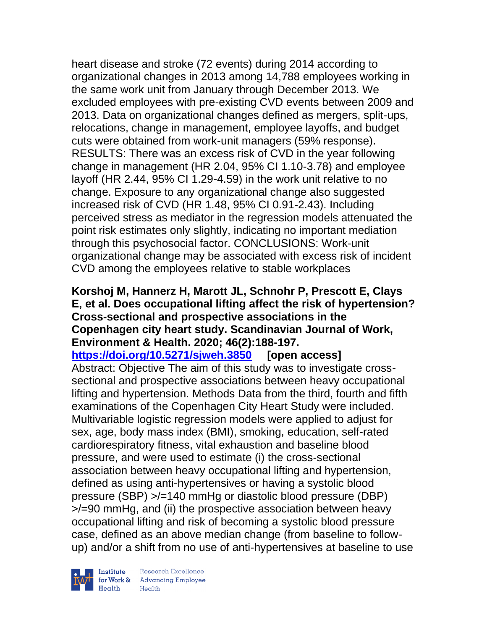heart disease and stroke (72 events) during 2014 according to organizational changes in 2013 among 14,788 employees working in the same work unit from January through December 2013. We excluded employees with pre-existing CVD events between 2009 and 2013. Data on organizational changes defined as mergers, split-ups, relocations, change in management, employee layoffs, and budget cuts were obtained from work-unit managers (59% response). RESULTS: There was an excess risk of CVD in the year following change in management (HR 2.04, 95% CI 1.10-3.78) and employee layoff (HR 2.44, 95% CI 1.29-4.59) in the work unit relative to no change. Exposure to any organizational change also suggested increased risk of CVD (HR 1.48, 95% CI 0.91-2.43). Including perceived stress as mediator in the regression models attenuated the point risk estimates only slightly, indicating no important mediation through this psychosocial factor. CONCLUSIONS: Work-unit organizational change may be associated with excess risk of incident CVD among the employees relative to stable workplaces

## **Korshoj M, Hannerz H, Marott JL, Schnohr P, Prescott E, Clays E, et al. Does occupational lifting affect the risk of hypertension? Cross-sectional and prospective associations in the Copenhagen city heart study. Scandinavian Journal of Work, Environment & Health. 2020; 46(2):188-197.**

**<https://doi.org/10.5271/sjweh.3850> [open access]** Abstract: Objective The aim of this study was to investigate crosssectional and prospective associations between heavy occupational lifting and hypertension. Methods Data from the third, fourth and fifth examinations of the Copenhagen City Heart Study were included. Multivariable logistic regression models were applied to adjust for sex, age, body mass index (BMI), smoking, education, self-rated cardiorespiratory fitness, vital exhaustion and baseline blood pressure, and were used to estimate (i) the cross-sectional association between heavy occupational lifting and hypertension, defined as using anti-hypertensives or having a systolic blood pressure (SBP) >/=140 mmHg or diastolic blood pressure (DBP) >/=90 mmHg, and (ii) the prospective association between heavy occupational lifting and risk of becoming a systolic blood pressure case, defined as an above median change (from baseline to followup) and/or a shift from no use of anti-hypertensives at baseline to use

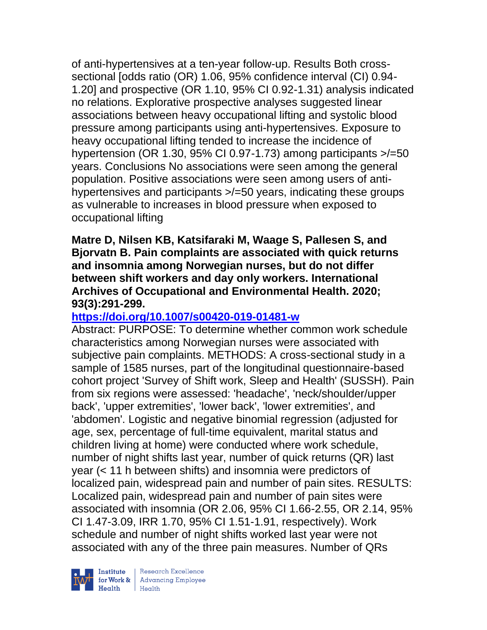of anti-hypertensives at a ten-year follow-up. Results Both crosssectional [odds ratio (OR) 1.06, 95% confidence interval (CI) 0.94- 1.20] and prospective (OR 1.10, 95% CI 0.92-1.31) analysis indicated no relations. Explorative prospective analyses suggested linear associations between heavy occupational lifting and systolic blood pressure among participants using anti-hypertensives. Exposure to heavy occupational lifting tended to increase the incidence of hypertension (OR 1.30, 95% CI 0.97-1.73) among participants  $\ge$  =50 years. Conclusions No associations were seen among the general population. Positive associations were seen among users of antihypertensives and participants >/=50 years, indicating these groups as vulnerable to increases in blood pressure when exposed to occupational lifting

### **Matre D, Nilsen KB, Katsifaraki M, Waage S, Pallesen S, and Bjorvatn B. Pain complaints are associated with quick returns and insomnia among Norwegian nurses, but do not differ between shift workers and day only workers. International Archives of Occupational and Environmental Health. 2020; 93(3):291-299.**

# **<https://doi.org/10.1007/s00420-019-01481-w>**

Abstract: PURPOSE: To determine whether common work schedule characteristics among Norwegian nurses were associated with subjective pain complaints. METHODS: A cross-sectional study in a sample of 1585 nurses, part of the longitudinal questionnaire-based cohort project 'Survey of Shift work, Sleep and Health' (SUSSH). Pain from six regions were assessed: 'headache', 'neck/shoulder/upper back', 'upper extremities', 'lower back', 'lower extremities', and 'abdomen'. Logistic and negative binomial regression (adjusted for age, sex, percentage of full-time equivalent, marital status and children living at home) were conducted where work schedule, number of night shifts last year, number of quick returns (QR) last year (< 11 h between shifts) and insomnia were predictors of localized pain, widespread pain and number of pain sites. RESULTS: Localized pain, widespread pain and number of pain sites were associated with insomnia (OR 2.06, 95% CI 1.66-2.55, OR 2.14, 95% CI 1.47-3.09, IRR 1.70, 95% CI 1.51-1.91, respectively). Work schedule and number of night shifts worked last year were not associated with any of the three pain measures. Number of QRs

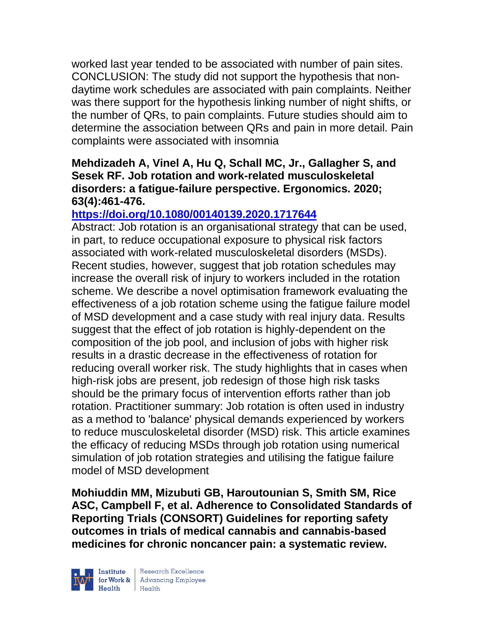worked last year tended to be associated with number of pain sites. CONCLUSION: The study did not support the hypothesis that nondaytime work schedules are associated with pain complaints. Neither was there support for the hypothesis linking number of night shifts, or the number of QRs, to pain complaints. Future studies should aim to determine the association between QRs and pain in more detail. Pain complaints were associated with insomnia

# **Mehdizadeh A, Vinel A, Hu Q, Schall MC, Jr., Gallagher S, and Sesek RF. Job rotation and work-related musculoskeletal disorders: a fatigue-failure perspective. Ergonomics. 2020; 63(4):461-476.**

# **<https://doi.org/10.1080/00140139.2020.1717644>**

Abstract: Job rotation is an organisational strategy that can be used, in part, to reduce occupational exposure to physical risk factors associated with work-related musculoskeletal disorders (MSDs). Recent studies, however, suggest that job rotation schedules may increase the overall risk of injury to workers included in the rotation scheme. We describe a novel optimisation framework evaluating the effectiveness of a job rotation scheme using the fatigue failure model of MSD development and a case study with real injury data. Results suggest that the effect of job rotation is highly-dependent on the composition of the job pool, and inclusion of jobs with higher risk results in a drastic decrease in the effectiveness of rotation for reducing overall worker risk. The study highlights that in cases when high-risk jobs are present, job redesign of those high risk tasks should be the primary focus of intervention efforts rather than job rotation. Practitioner summary: Job rotation is often used in industry as a method to 'balance' physical demands experienced by workers to reduce musculoskeletal disorder (MSD) risk. This article examines the efficacy of reducing MSDs through job rotation using numerical simulation of job rotation strategies and utilising the fatigue failure model of MSD development

**Mohiuddin MM, Mizubuti GB, Haroutounian S, Smith SM, Rice ASC, Campbell F, et al. Adherence to Consolidated Standards of Reporting Trials (CONSORT) Guidelines for reporting safety outcomes in trials of medical cannabis and cannabis-based medicines for chronic noncancer pain: a systematic review.** 



| Research Excellence **Example 18 Advancing Employee**<br> **Health** Health<br>
Health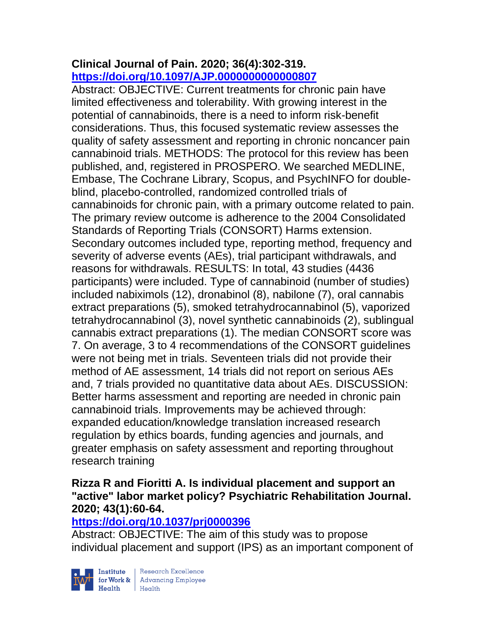# **Clinical Journal of Pain. 2020; 36(4):302-319. <https://doi.org/10.1097/AJP.0000000000000807>**

Abstract: OBJECTIVE: Current treatments for chronic pain have limited effectiveness and tolerability. With growing interest in the potential of cannabinoids, there is a need to inform risk-benefit considerations. Thus, this focused systematic review assesses the quality of safety assessment and reporting in chronic noncancer pain cannabinoid trials. METHODS: The protocol for this review has been published, and, registered in PROSPERO. We searched MEDLINE, Embase, The Cochrane Library, Scopus, and PsychINFO for doubleblind, placebo-controlled, randomized controlled trials of cannabinoids for chronic pain, with a primary outcome related to pain. The primary review outcome is adherence to the 2004 Consolidated Standards of Reporting Trials (CONSORT) Harms extension. Secondary outcomes included type, reporting method, frequency and severity of adverse events (AEs), trial participant withdrawals, and reasons for withdrawals. RESULTS: In total, 43 studies (4436 participants) were included. Type of cannabinoid (number of studies) included nabiximols (12), dronabinol (8), nabilone (7), oral cannabis extract preparations (5), smoked tetrahydrocannabinol (5), vaporized tetrahydrocannabinol (3), novel synthetic cannabinoids (2), sublingual cannabis extract preparations (1). The median CONSORT score was 7. On average, 3 to 4 recommendations of the CONSORT guidelines were not being met in trials. Seventeen trials did not provide their method of AE assessment, 14 trials did not report on serious AEs and, 7 trials provided no quantitative data about AEs. DISCUSSION: Better harms assessment and reporting are needed in chronic pain cannabinoid trials. Improvements may be achieved through: expanded education/knowledge translation increased research regulation by ethics boards, funding agencies and journals, and greater emphasis on safety assessment and reporting throughout research training

# **Rizza R and Fioritti A. Is individual placement and support an "active" labor market policy? Psychiatric Rehabilitation Journal. 2020; 43(1):60-64.**

# **<https://doi.org/10.1037/prj0000396>**

Abstract: OBJECTIVE: The aim of this study was to propose individual placement and support (IPS) as an important component of

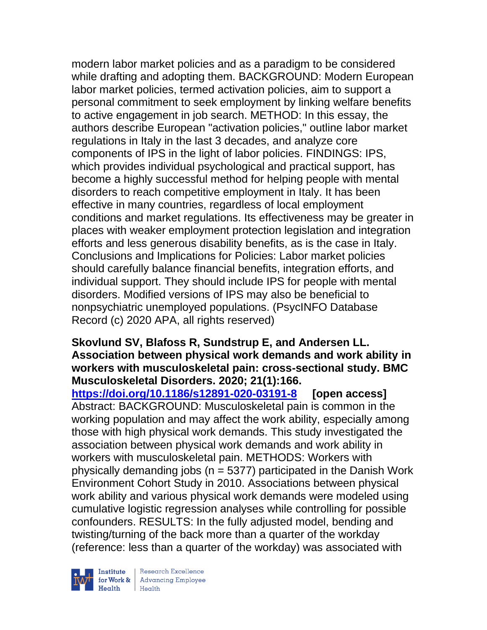modern labor market policies and as a paradigm to be considered while drafting and adopting them. BACKGROUND: Modern European labor market policies, termed activation policies, aim to support a personal commitment to seek employment by linking welfare benefits to active engagement in job search. METHOD: In this essay, the authors describe European "activation policies," outline labor market regulations in Italy in the last 3 decades, and analyze core components of IPS in the light of labor policies. FINDINGS: IPS, which provides individual psychological and practical support, has become a highly successful method for helping people with mental disorders to reach competitive employment in Italy. It has been effective in many countries, regardless of local employment conditions and market regulations. Its effectiveness may be greater in places with weaker employment protection legislation and integration efforts and less generous disability benefits, as is the case in Italy. Conclusions and Implications for Policies: Labor market policies should carefully balance financial benefits, integration efforts, and individual support. They should include IPS for people with mental disorders. Modified versions of IPS may also be beneficial to nonpsychiatric unemployed populations. (PsycINFO Database Record (c) 2020 APA, all rights reserved)

#### **Skovlund SV, Blafoss R, Sundstrup E, and Andersen LL. Association between physical work demands and work ability in workers with musculoskeletal pain: cross-sectional study. BMC Musculoskeletal Disorders. 2020; 21(1):166.**

**<https://doi.org/10.1186/s12891-020-03191-8> [open access]** Abstract: BACKGROUND: Musculoskeletal pain is common in the working population and may affect the work ability, especially among those with high physical work demands. This study investigated the association between physical work demands and work ability in workers with musculoskeletal pain. METHODS: Workers with physically demanding jobs ( $n = 5377$ ) participated in the Danish Work Environment Cohort Study in 2010. Associations between physical work ability and various physical work demands were modeled using cumulative logistic regression analyses while controlling for possible confounders. RESULTS: In the fully adjusted model, bending and twisting/turning of the back more than a quarter of the workday (reference: less than a quarter of the workday) was associated with